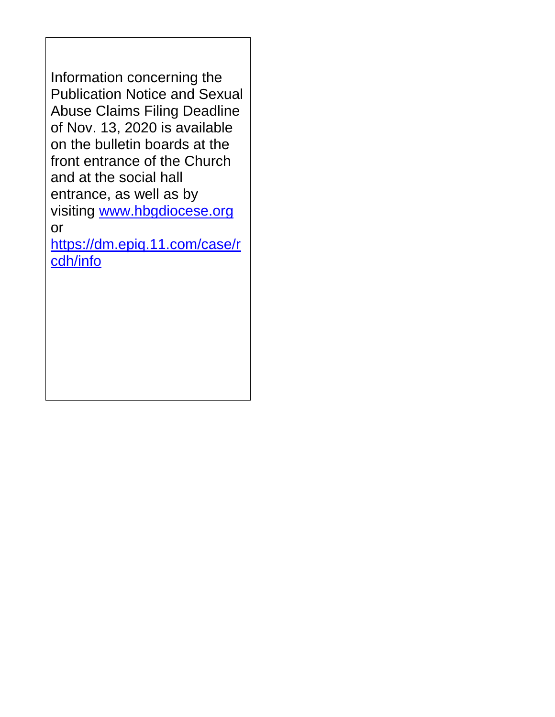Information concerning the Publication Notice and Sexual Abuse Claims Filing Deadline of Nov. 13, 2020 is available on the bulletin boards at the front entrance of the Church and at the social hall entrance, as well as by visiting [www.hbgdiocese.org](http://www.hbgdiocese.org/) or [https://dm.epiq.11.com/case/r](https://dm.epiq.11.com/case/rcdh/info) [cdh/info](https://dm.epiq.11.com/case/rcdh/info)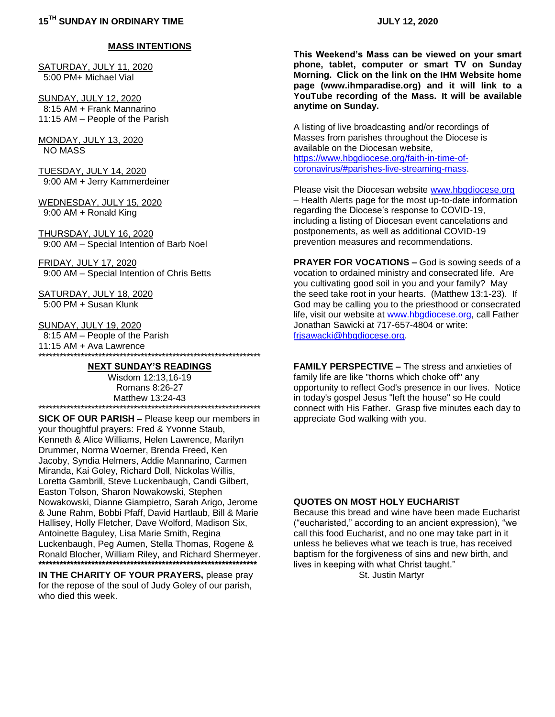#### **MASS INTENTIONS**

SATURDAY, JULY 11, 2020 5:00 PM+ Michael Vial

SUNDAY, JULY 12, 2020 8:15 AM + Frank Mannarino 11:15 AM – People of the Parish

MONDAY, JULY 13, 2020 NO MASS

TUESDAY, JULY 14, 2020 9:00 AM + Jerry Kammerdeiner

WEDNESDAY, JULY 15, 2020 9:00 AM + Ronald King

THURSDAY, JULY 16, 2020 9:00 AM – Special Intention of Barb Noel

FRIDAY, JULY 17, 2020 9:00 AM – Special Intention of Chris Betts

SATURDAY, JULY 18, 2020 5:00 PM + Susan Klunk

SUNDAY, JULY 19, 2020 8:15 AM – People of the Parish 11:15 AM + Ava Lawrence \*\*\*\*\*\*\*\*\*\*\*\*\*\*\*\*\*\*\*\*\*\*\*\*\*\*\*\*\*\*\*\*\*\*\*\*\*\*\*\*\*\*\*\*\*\*\*\*\*\*\*\*\*\*\*\*\*\*\*\*\*\*\*

#### **NEXT SUNDAY'S READINGS**

Wisdom 12:13,16-19 Romans 8:26-27 Matthew 13:24-43 \*\*\*\*\*\*\*\*\*\*\*\*\*\*\*\*\*\*\*\*\*\*\*\*\*\*\*\*\*\*\*\*\*\*\*\*\*\*\*\*\*\*\*\*\*\*\*\*\*\*\*\*\*\*\*\*\*\*\*\*\*\*\*

**SICK OF OUR PARISH –** Please keep our members in your thoughtful prayers: Fred & Yvonne Staub, Kenneth & Alice Williams, Helen Lawrence, Marilyn Drummer, Norma Woerner, Brenda Freed, Ken Jacoby, Syndia Helmers, Addie Mannarino, Carmen Miranda, Kai Goley, Richard Doll, Nickolas Willis, Loretta Gambrill, Steve Luckenbaugh, Candi Gilbert, Easton Tolson, Sharon Nowakowski, Stephen Nowakowski, Dianne Giampietro, Sarah Arigo, Jerome & June Rahm, Bobbi Pfaff, David Hartlaub, Bill & Marie Hallisey, Holly Fletcher, Dave Wolford, Madison Six, Antoinette Baguley, Lisa Marie Smith, Regina Luckenbaugh, Peg Aumen, Stella Thomas, Rogene & Ronald Blocher, William Riley, and Richard Shermeyer. **\*\*\*\*\*\*\*\*\*\*\*\*\*\*\*\*\*\*\*\*\*\*\*\*\*\*\*\*\*\*\*\*\*\*\*\*\*\*\*\*\*\*\*\*\*\*\*\*\*\*\*\*\*\*\*\*\*\*\*\*\*\***

**IN THE CHARITY OF YOUR PRAYERS,** please pray for the repose of the soul of Judy Goley of our parish, who died this week

**This Weekend's Mass can be viewed on your smart phone, tablet, computer or smart TV on Sunday Morning. Click on the link on the IHM Website home page (www.ihmparadise.org) and it will link to a YouTube recording of the Mass. It will be available anytime on Sunday.**

A listing of live broadcasting and/or recordings of Masses from parishes throughout the Diocese is available on the Diocesan website, [https://www.hbgdiocese.org/faith-in-time-of](https://www.hbgdiocese.org/faith-in-time-of-coronavirus/#parishes-live-streaming-mass)[coronavirus/#parishes-live-streaming-mass.](https://www.hbgdiocese.org/faith-in-time-of-coronavirus/#parishes-live-streaming-mass)

Please visit the Diocesan website [www.hbgdiocese.org](http://www.hbgdiocese.org/) – Health Alerts page for the most up-to-date information regarding the Diocese's response to COVID-19, including a listing of Diocesan event cancelations and postponements, as well as additional COVID-19 prevention measures and recommendations.

**PRAYER FOR VOCATIONS –** God is sowing seeds of a vocation to ordained ministry and consecrated life. Are you cultivating good soil in you and your family? May the seed take root in your hearts. (Matthew 13:1-23). If God may be calling you to the priesthood or consecrated life, visit our website at [www.hbgdiocese.org,](http://www.hbgdiocese.org/) call Father Jonathan Sawicki at 717-657-4804 or write: [frjsawacki@hbgdiocese.org.](mailto:frjsawacki@hbgdiocese.org)

**FAMILY PERSPECTIVE –** The stress and anxieties of family life are like "thorns which choke off" any opportunity to reflect God's presence in our lives. Notice in today's gospel Jesus "left the house" so He could connect with His Father. Grasp five minutes each day to appreciate God walking with you.

#### **QUOTES ON MOST HOLY EUCHARIST**

Because this bread and wine have been made Eucharist ("eucharisted," according to an ancient expression), "we call this food Eucharist, and no one may take part in it unless he believes what we teach is true, has received baptism for the forgiveness of sins and new birth, and lives in keeping with what Christ taught." St. Justin Martyr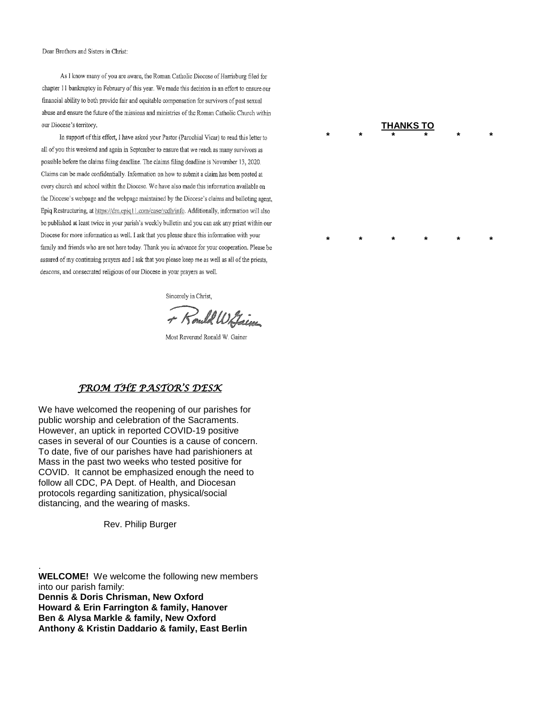Dear Brothers and Sisters in Christ:

As I know many of you are aware, the Roman Catholic Diocese of Harrisburg filed for chapter 11 bankruptcy in February of this year. We made this decision in an effort to ensure our financial ability to both provide fair and equitable compensation for survivors of past sexual abuse and ensure the future of the missions and ministries of the Roman Catholic Church within our Diocese's territory.

In support of this effort, I have asked your Pastor (Parochial Vicar) to read this letter to all of you this weekend and again in September to ensure that we reach as many survivors as possible before the claims filing deadline. The claims filing deadline is November 13, 2020. Claims can be made confidentially. Information on how to submit a claim has been posted at every church and school within the Diocese. We have also made this information available on the Diocese's webpage and the webpage maintained by the Diocese's claims and balloting agent, Epiq Restructuring, at https://dm.epiq11.com/case/rcdh/info. Additionally, information will also be published at least twice in your parish's weekly bulletin and you can ask any priest within our Diocese for more information as well. I ask that you please share this information with your family and friends who are not here today. Thank you in advance for your cooperation. Please be assured of my continuing prayers and I ask that you please keep me as well as all of the priests, deacons, and consecrated religious of our Diocese in your prayers as well.

Sincerely in Christ,

+ Rould Withing

Most Reverend Ronald W. Gainer

#### *FROM THE PASTOR'S DESK*

We have welcomed the reopening of our parishes for public worship and celebration of the Sacraments. However, an uptick in reported COVID-19 positive cases in several of our Counties is a cause of concern. To date, five of our parishes have had parishioners at Mass in the past two weeks who tested positive for COVID. It cannot be emphasized enough the need to follow all CDC, PA Dept. of Health, and Diocesan protocols regarding sanitization, physical/social distancing, and the wearing of masks.

Rev. Philip Burger

.

**WELCOME!** We welcome the following new members into our parish family: **Dennis & Doris Chrisman, New Oxford Howard & Erin Farrington & family, Hanover Ben & Alysa Markle & family, New Oxford Anthony & Kristin Daddario & family, East Berlin**

#### **THANKS TO \* \* \* \* \* \***

**\* \* \* \* \* \***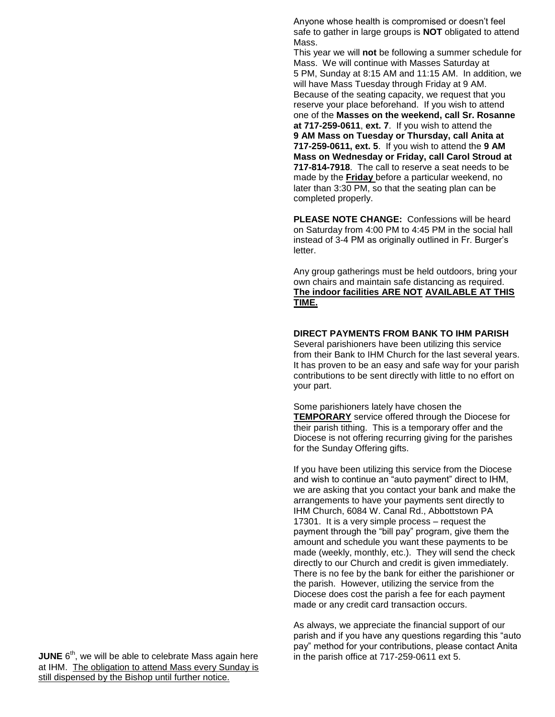Anyone whose health is compromised or doesn't feel safe to gather in large groups is **NOT** obligated to attend Mass.

This year we will **not** be following a summer schedule for Mass. We will continue with Masses Saturday at 5 PM, Sunday at 8:15 AM and 11:15 AM. In addition, we will have Mass Tuesday through Friday at 9 AM. Because of the seating capacity, we request that you reserve your place beforehand. If you wish to attend one of the **Masses on the weekend, call Sr. Rosanne at 717-259-0611**, **ext. 7**. If you wish to attend the **9 AM Mass on Tuesday or Thursday, call Anita at 717-259-0611, ext. 5**. If you wish to attend the **9 AM Mass on Wednesday or Friday, call Carol Stroud at 717-814-7918**. The call to reserve a seat needs to be made by the **Friday** before a particular weekend, no later than 3:30 PM, so that the seating plan can be completed properly.

**PLEASE NOTE CHANGE:** Confessions will be heard on Saturday from 4:00 PM to 4:45 PM in the social hall instead of 3-4 PM as originally outlined in Fr. Burger's letter.

Any group gatherings must be held outdoors, bring your own chairs and maintain safe distancing as required. **The indoor facilities ARE NOT AVAILABLE AT THIS TIME.**

#### **DIRECT PAYMENTS FROM BANK TO IHM PARISH**

Several parishioners have been utilizing this service from their Bank to IHM Church for the last several years. It has proven to be an easy and safe way for your parish contributions to be sent directly with little to no effort on your part.

Some parishioners lately have chosen the **TEMPORARY** service offered through the Diocese for their parish tithing. This is a temporary offer and the Diocese is not offering recurring giving for the parishes for the Sunday Offering gifts.

If you have been utilizing this service from the Diocese and wish to continue an "auto payment" direct to IHM, we are asking that you contact your bank and make the arrangements to have your payments sent directly to IHM Church, 6084 W. Canal Rd., Abbottstown PA 17301. It is a very simple process – request the payment through the "bill pay" program, give them the amount and schedule you want these payments to be made (weekly, monthly, etc.). They will send the check directly to our Church and credit is given immediately. There is no fee by the bank for either the parishioner or the parish. However, utilizing the service from the Diocese does cost the parish a fee for each payment made or any credit card transaction occurs.

As always, we appreciate the financial support of our parish and if you have any questions regarding this "auto pay" method for your contributions, please contact Anita in the parish office at 717-259-0611 ext 5.

**JUNE** 6<sup>th</sup>, we will be able to celebrate Mass again here at IHM. The obligation to attend Mass every Sunday is still dispensed by the Bishop until further notice.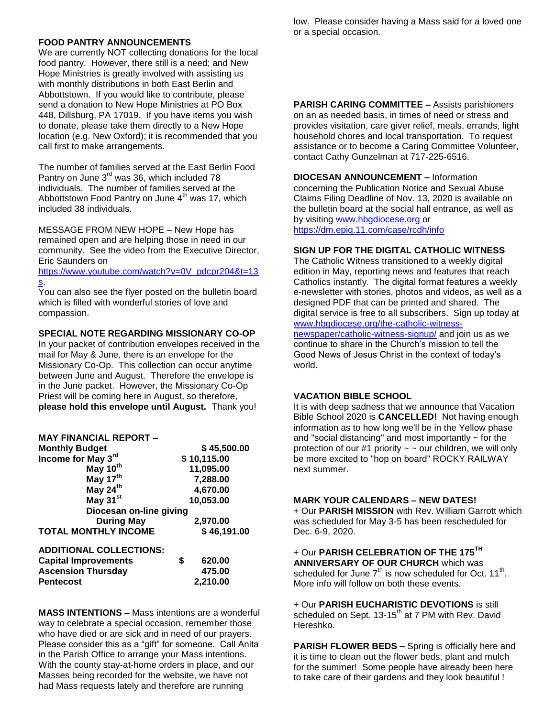## **FOOD PANTRY ANNOUNCEMENTS**

We are currently NOT collecting donations for the local food pantry. However, there still is a need; and New Hope Ministries is greatly involved with assisting us with monthly distributions in both East Berlin and Abbottstown. If you would like to contribute, please send a donation to New Hope Ministries at PO Box 448, Dillsburg, PA 17019. If you have items you wish to donate, please take them directly to a New Hope location (e.g. New Oxford); it is recommended that you call first to make arrangements.

The number of families served at the East Berlin Food Pantry on June 3<sup>rd</sup> was 36, which included 78 individuals. The number of families served at the Abbottstown Food Pantry on June  $4<sup>th</sup>$  was 17, which included 38 individuals.

MESSAGE FROM NEW HOPE – New Hope has remained open and are helping those in need in our community. See the video from the Executive Director, Eric Saunders on

[https://www.youtube.com/watch?v=0V\\_pdcpr204&t=13](https://www.youtube.com/watch?v=0V_pdcpr204&t=13s) [s.](https://www.youtube.com/watch?v=0V_pdcpr204&t=13s)

You can also see the flyer posted on the bulletin board which is filled with wonderful stories of love and compassion.

## **SPECIAL NOTE REGARDING MISSIONARY CO-OP**

In your packet of contribution envelopes received in the mail for May & June, there is an envelope for the Missionary Co-Op. This collection can occur anytime between June and August. Therefore the envelope is in the June packet. However, the Missionary Co-Op Priest will be coming here in August, so therefore, **please hold this envelope until August.** Thank you!

| <b>MAY FINANCIAL REPORT -</b>  |              |
|--------------------------------|--------------|
| <b>Monthly Budget</b>          | \$45,500.00  |
| Income for May 3rd             | \$10,115.00  |
| May 10 <sup>th</sup>           | 11,095.00    |
| May 17 <sup>th</sup>           | 7,288.00     |
| May 24th                       | 4,670.00     |
| May 31 <sup>st</sup>           | 10,053.00    |
| Diocesan on-line giving        |              |
| <b>During May</b>              | 2,970.00     |
| <b>TOTAL MONTHLY INCOME</b>    | \$46,191.00  |
| <b>ADDITIONAL COLLECTIONS:</b> |              |
| <b>Capital Improvements</b>    | \$<br>620.00 |
| <b>Ascension Thursday</b>      | 475.00       |
| <b>Pentecost</b>               | 2.210.00     |
|                                |              |

**MASS INTENTIONS –** Mass intentions are a wonderful way to celebrate a special occasion, remember those who have died or are sick and in need of our prayers. Please consider this as a "gift" for someone. Call Anita in the Parish Office to arrange your Mass intentions. With the county stay-at-home orders in place, and our Masses being recorded for the website, we have not had Mass requests lately and therefore are running

low. Please consider having a Mass said for a loved one or a special occasion.

**PARISH CARING COMMITTEE –** Assists parishioners on an as needed basis, in times of need or stress and provides visitation, care giver relief, meals, errands, light household chores and local transportation. To request assistance or to become a Caring Committee Volunteer, contact Cathy Gunzelman at 717-225-6516.

**DIOCESAN ANNOUNCEMENT –** Information concerning the Publication Notice and Sexual Abuse Claims Filing Deadline of Nov. 13, 2020 is available on the bulletin board at the social hall entrance, as well as by visiting [www.hbgdiocese.org](http://www.hbgdiocese.org/) or <https://dm.epiq.11.com/case/rcdh/info>

#### **SIGN UP FOR THE DIGITAL CATHOLIC WITNESS**

The Catholic Witness transitioned to a weekly digital edition in May, reporting news and features that reach Catholics instantly. The digital format features a weekly e-newsletter with stories, photos and videos, as well as a designed PDF that can be printed and shared. The digital service is free to all subscribers. Sign up today at [www.hbgdiocese.org/the-catholic-witness](http://www.hbgdiocese.org/the-catholic-witness-newspaper/catholic-witness-signup/)[newspaper/catholic-witness-signup/](http://www.hbgdiocese.org/the-catholic-witness-newspaper/catholic-witness-signup/) and join us as we continue to share in the Church's mission to tell the Good News of Jesus Christ in the context of today's world.

#### **VACATION BIBLE SCHOOL**

It is with deep sadness that we announce that Vacation Bible School 2020 is **CANCELLED!** Not having enough information as to how long we'll be in the Yellow phase and "social distancing" and most importantly  $\sim$  for the protection of our #1 priority  $\sim$   $\sim$  our children, we will only be more excited to "hop on board" ROCKY RAILWAY next summer.

#### **MARK YOUR CALENDARS – NEW DATES!**

+ Our **PARISH MISSION** with Rev. William Garrott which was scheduled for May 3-5 has been rescheduled for Dec. 6-9, 2020.

+ Our **PARISH CELEBRATION OF THE 175TH ANNIVERSARY OF OUR CHURCH** which was scheduled for June  $7<sup>th</sup>$  is now scheduled for Oct. 11<sup>th</sup>. More info will follow on both these events.

+ Our **PARISH EUCHARISTIC DEVOTIONS** is still scheduled on Sept. 13-15<sup>th</sup> at 7 PM with Rev. David Hereshko.

**PARISH FLOWER BEDS –** Spring is officially here and it is time to clean out the flower beds, plant and mulch for the summer! Some people have already been here to take care of their gardens and they look beautiful !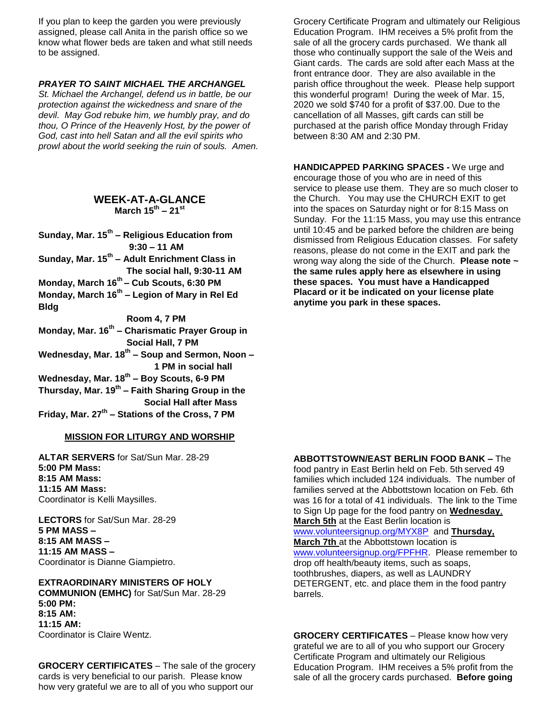If you plan to keep the garden you were previously assigned, please call Anita in the parish office so we know what flower beds are taken and what still needs to be assigned.

#### *PRAYER TO SAINT MICHAEL THE ARCHANGEL*

*St. Michael the Archangel, defend us in battle, be our protection against the wickedness and snare of the devil. May God rebuke him, we humbly pray, and do thou, O Prince of the Heavenly Host, by the power of God, cast into hell Satan and all the evil spirits who prowl about the world seeking the ruin of souls. Amen.*

## **WEEK-AT-A-GLANCE March 15th – 21st**

**Sunday, Mar. 15th – Religious Education from 9:30 – 11 AM**

- **Sunday, Mar. 15th – Adult Enrichment Class in The social hall, 9:30-11 AM**
- **Monday, March 16th – Cub Scouts, 6:30 PM**
- **Monday, March 16th – Legion of Mary in Rel Ed Bldg**

 **Room 4, 7 PM**

**Monday, Mar. 16th – Charismatic Prayer Group in Social Hall, 7 PM** 

**Wednesday, Mar. 18th – Soup and Sermon, Noon – 1 PM in social hall**

- **Wednesday, Mar. 18th – Boy Scouts, 6-9 PM**
- **Thursday, Mar. 19th – Faith Sharing Group in the**

 **Social Hall after Mass**

# **Friday, Mar. 27th – Stations of the Cross, 7 PM**

#### **MISSION FOR LITURGY AND WORSHIP**

**ALTAR SERVERS** for Sat/Sun Mar. 28-29 **5:00 PM Mass: 8:15 AM Mass: 11:15 AM Mass:** Coordinator is Kelli Maysilles.

**LECTORS** for Sat/Sun Mar. 28-29 **5 PM MASS – 8:15 AM MASS – 11:15 AM MASS –** Coordinator is Dianne Giampietro.

**EXTRAORDINARY MINISTERS OF HOLY COMMUNION (EMHC)** for Sat/Sun Mar. 28-29 **5:00 PM: 8:15 AM: 11:15 AM:**  Coordinator is Claire Wentz.

**GROCERY CERTIFICATES** – The sale of the grocery cards is very beneficial to our parish. Please know how very grateful we are to all of you who support our

Grocery Certificate Program and ultimately our Religious Education Program. IHM receives a 5% profit from the sale of all the grocery cards purchased. We thank all those who continually support the sale of the Weis and Giant cards. The cards are sold after each Mass at the front entrance door. They are also available in the parish office throughout the week. Please help support this wonderful program! During the week of Mar. 15, 2020 we sold \$740 for a profit of \$37.00. Due to the cancellation of all Masses, gift cards can still be purchased at the parish office Monday through Friday between 8:30 AM and 2:30 PM.

**HANDICAPPED PARKING SPACES -** We urge and encourage those of you who are in need of this service to please use them. They are so much closer to the Church. You may use the CHURCH EXIT to get into the spaces on Saturday night or for 8:15 Mass on Sunday. For the 11:15 Mass, you may use this entrance until 10:45 and be parked before the children are being dismissed from Religious Education classes. For safety reasons, please do not come in the EXIT and park the wrong way along the side of the Church. **Please note ~ the same rules apply here as elsewhere in using these spaces. You must have a Handicapped Placard or it be indicated on your license plate anytime you park in these spaces.**

#### **ABBOTTSTOWN/EAST BERLIN FOOD BANK –** The

food pantry in East Berlin held on Feb. 5th served 49 families which included 124 individuals. The number of families served at the Abbottstown location on Feb. 6th was 16 for a total of 41 individuals. The link to the Time to Sign Up page for the food pantry on **Wednesday**, **March 5th** at the East Berlin location is [www.volunteersignup.org/MYX8P](http://www.volunteersignup.org/MYX8P) and **Thursday,** 

**March 7th** at the Abbottstown location is [www.volunteersignup.org/FPFHR.](http://www.volunteersignup.org/FPFHR) Please remember to drop off health/beauty items, such as soaps, toothbrushes, diapers, as well as LAUNDRY DETERGENT, etc. and place them in the food pantry barrels.

**GROCERY CERTIFICATES** – Please know how very grateful we are to all of you who support our Grocery Certificate Program and ultimately our Religious Education Program. IHM receives a 5% profit from the sale of all the grocery cards purchased. **Before going**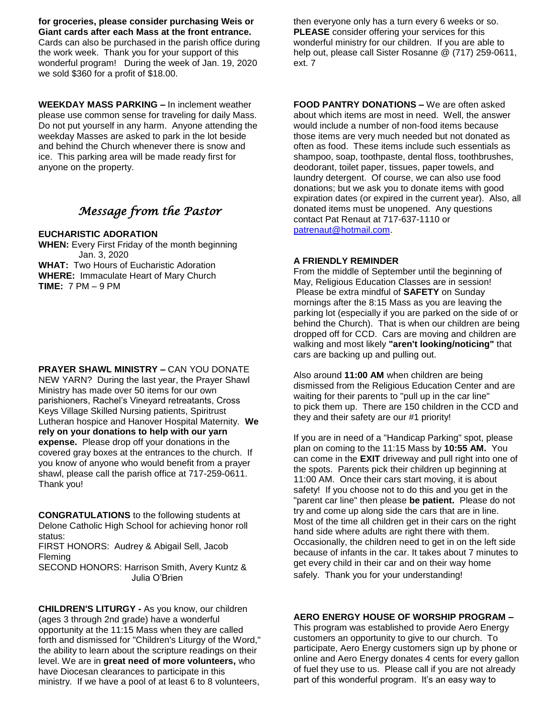**for groceries, please consider purchasing Weis or Giant cards after each Mass at the front entrance.** Cards can also be purchased in the parish office during the work week. Thank you for your support of this wonderful program! During the week of Jan. 19, 2020 we sold \$360 for a profit of \$18.00.

**WEEKDAY MASS PARKING –** In inclement weather please use common sense for traveling for daily Mass. Do not put yourself in any harm. Anyone attending the weekday Masses are asked to park in the lot beside and behind the Church whenever there is snow and ice. This parking area will be made ready first for anyone on the property.

## *Message from the Pastor*

## **EUCHARISTIC ADORATION**

**WHEN:** Every First Friday of the month beginning Jan. 3, 2020 **WHAT:** Two Hours of Eucharistic Adoration **WHERE:** Immaculate Heart of Mary Church **TIME:** 7 PM – 9 PM

**PRAYER SHAWL MINISTRY –** CAN YOU DONATE NEW YARN? During the last year, the Prayer Shawl Ministry has made over 50 items for our own parishioners, Rachel's Vineyard retreatants, Cross Keys Village Skilled Nursing patients, Spiritrust Lutheran hospice and Hanover Hospital Maternity. **We rely on your donations to help with our yarn expense.** Please drop off your donations in the covered gray boxes at the entrances to the church. If you know of anyone who would benefit from a prayer shawl, please call the parish office at 717-259-0611. Thank you!

**CONGRATULATIONS** to the following students at Delone Catholic High School for achieving honor roll status: FIRST HONORS: Audrey & Abigail Sell, Jacob Fleming

SECOND HONORS: Harrison Smith, Avery Kuntz & Julia O'Brien

**CHILDREN'S LITURGY -** As you know, our children (ages 3 through 2nd grade) have a wonderful opportunity at the 11:15 Mass when they are called forth and dismissed for "Children's Liturgy of the Word," the ability to learn about the scripture readings on their level. We are in **great need of more volunteers,** who have Diocesan clearances to participate in this ministry. If we have a pool of at least 6 to 8 volunteers, then everyone only has a turn every 6 weeks or so. **PLEASE** consider offering your services for this wonderful ministry for our children. If you are able to help out, please call Sister Rosanne @ (717) 259-0611, ext. 7

**FOOD PANTRY DONATIONS –** We are often asked about which items are most in need. Well, the answer would include a number of non-food items because those items are very much needed but not donated as often as food. These items include such essentials as shampoo, soap, toothpaste, dental floss, toothbrushes, deodorant, toilet paper, tissues, paper towels, and laundry detergent. Of course, we can also use food donations; but we ask you to donate items with good expiration dates (or expired in the current year). Also, all donated items must be unopened. Any questions contact Pat Renaut at 717-637-1110 or [patrenaut@hotmail.com.](mailto:patrenaut@hotmail.com)

## **A FRIENDLY REMINDER**

From the middle of September until the beginning of May, Religious Education Classes are in session! Please be extra mindful of **SAFETY** on Sunday mornings after the 8:15 Mass as you are leaving the parking lot (especially if you are parked on the side of or behind the Church). That is when our children are being dropped off for CCD. Cars are moving and children are walking and most likely **"aren't looking/noticing"** that cars are backing up and pulling out.

Also around **11:00 AM** when children are being dismissed from the Religious Education Center and are waiting for their parents to "pull up in the car line" to pick them up. There are 150 children in the CCD and they and their safety are our #1 priority!

If you are in need of a "Handicap Parking" spot, please plan on coming to the 11:15 Mass by **10:55 AM.** You can come in the **EXIT** driveway and pull right into one of the spots. Parents pick their children up beginning at 11:00 AM. Once their cars start moving, it is about safety! If you choose not to do this and you get in the "parent car line" then please **be patient.** Please do not try and come up along side the cars that are in line. Most of the time all children get in their cars on the right hand side where adults are right there with them. Occasionally, the children need to get in on the left side because of infants in the car. It takes about 7 minutes to get every child in their car and on their way home safely. Thank you for your understanding!

## **AERO ENERGY HOUSE OF WORSHIP PROGRAM –**

This program was established to provide Aero Energy customers an opportunity to give to our church. To participate, Aero Energy customers sign up by phone or online and Aero Energy donates 4 cents for every gallon of fuel they use to us. Please call if you are not already part of this wonderful program. It's an easy way to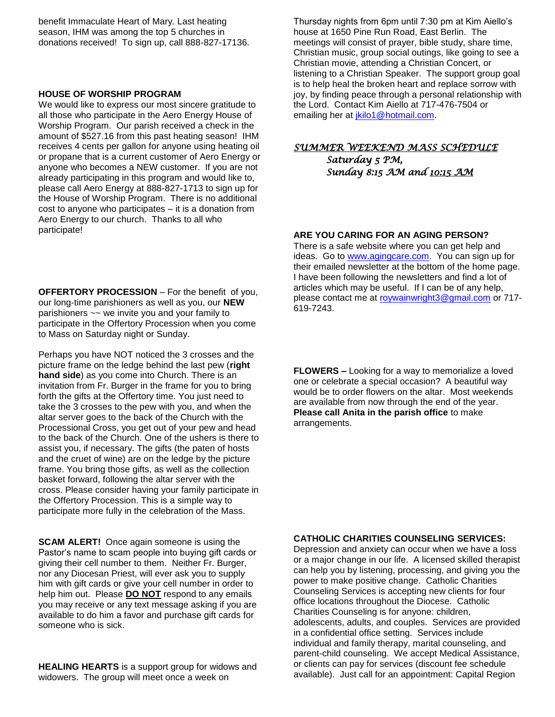benefit Immaculate Heart of Mary. Last heating season, IHM was among the top 5 churches in donations received! To sign up, call 888-827-17136.

#### **HOUSE OF WORSHIP PROGRAM**

We would like to express our most sincere gratitude to all those who participate in the Aero Energy House of Worship Program. Our parish received a check in the amount of \$527.16 from this past heating season! IHM receives 4 cents per gallon for anyone using heating oil or propane that is a current customer of Aero Energy or anyone who becomes a NEW customer. If you are not already participating in this program and would like to, please call Aero Energy at 888-827-1713 to sign up for the House of Worship Program. There is no additional cost to anyone who participates – it is a donation from Aero Energy to our church. Thanks to all who participate!

**OFFERTORY PROCESSION** – For the benefit of you, our long-time parishioners as well as you, our **NEW**  parishioners ~~ we invite you and your family to participate in the Offertory Procession when you come to Mass on Saturday night or Sunday.

Perhaps you have NOT noticed the 3 crosses and the picture frame on the ledge behind the last pew (**right hand side**) as you come into Church. There is an invitation from Fr. Burger in the frame for you to bring forth the gifts at the Offertory time. You just need to take the 3 crosses to the pew with you, and when the altar server goes to the back of the Church with the Processional Cross, you get out of your pew and head to the back of the Church. One of the ushers is there to assist you, if necessary. The gifts (the paten of hosts and the cruet of wine) are on the ledge by the picture frame. You bring those gifts, as well as the collection basket forward, following the altar server with the cross. Please consider having your family participate in the Offertory Procession. This is a simple way to participate more fully in the celebration of the Mass.

**SCAM ALERT!** Once again someone is using the Pastor's name to scam people into buying gift cards or giving their cell number to them. Neither Fr. Burger, nor any Diocesan Priest, will ever ask you to supply him with gift cards or give your cell number in order to help him out. Please **DO NOT** respond to any emails you may receive or any text message asking if you are available to do him a favor and purchase gift cards for someone who is sick.

**HEALING HEARTS** is a support group for widows and widowers. The group will meet once a week on

Thursday nights from 6pm until 7:30 pm at Kim Aiello's house at 1650 Pine Run Road, East Berlin. The meetings will consist of prayer, bible study, share time, Christian music, group social outings, like going to see a Christian movie, attending a Christian Concert, or listening to a Christian Speaker. The support group goal is to help heal the broken heart and replace sorrow with joy, by finding peace through a personal relationship with the Lord. Contact Kim Aiello at 717-476-7504 or emailing her at *jkilo1@hotmail.com.* 

## *SUMMER WEEKEND MASS SCHEDULE*

*Saturday 5 PM, Sunday 8:15 AM and 10:15 AM* 

#### **ARE YOU CARING FOR AN AGING PERSON?**

There is a safe website where you can get help and ideas. Go to [www.agingcare.com.](http://www.agingcare.com/) You can sign up for their emailed newsletter at the bottom of the home page. I have been following the newsletters and find a lot of articles which may be useful. If I can be of any help, please contact me at [roywainwright3@gmail.com](mailto:roywainwright3@gmail.com) or 717- 619-7243.

**FLOWERS –** Looking for a way to memorialize a loved one or celebrate a special occasion? A beautiful way would be to order flowers on the altar. Most weekends are available from now through the end of the year. **Please call Anita in the parish office** to make arrangements.

#### **CATHOLIC CHARITIES COUNSELING SERVICES:**

Depression and anxiety can occur when we have a loss or a major change in our life. A licensed skilled therapist can help you by listening, processing, and giving you the power to make positive change. Catholic Charities Counseling Services is accepting new clients for four office locations throughout the Diocese. Catholic Charities Counseling is for anyone: children, adolescents, adults, and couples. Services are provided in a confidential office setting. Services include individual and family therapy, marital counseling, and parent-child counseling. We accept Medical Assistance, or clients can pay for services (discount fee schedule available). Just call for an appointment: Capital Region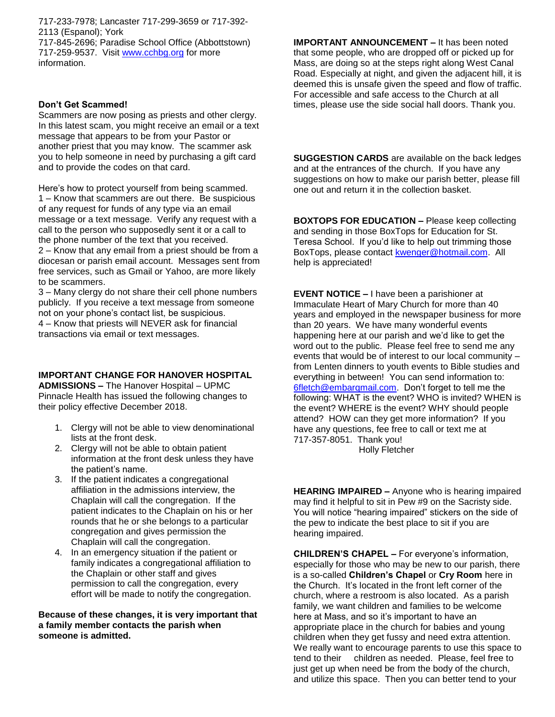717-233-7978; Lancaster 717-299-3659 or 717-392- 2113 (Espanol); York 717-845-2696; Paradise School Office (Abbottstown) 717-259-9537. Visit [www.cchbg.org](http://www.cchbg.org/) for more information.

## **Don't Get Scammed!**

Scammers are now posing as priests and other clergy. In this latest scam, you might receive an email or a text message that appears to be from your Pastor or another priest that you may know. The scammer ask you to help someone in need by purchasing a gift card and to provide the codes on that card.

Here's how to protect yourself from being scammed. 1 – Know that scammers are out there. Be suspicious of any request for funds of any type via an email message or a text message. Verify any request with a call to the person who supposedly sent it or a call to the phone number of the text that you received. 2 – Know that any email from a priest should be from a diocesan or parish email account. Messages sent from free services, such as Gmail or Yahoo, are more likely to be scammers.

3 – Many clergy do not share their cell phone numbers publicly. If you receive a text message from someone not on your phone's contact list, be suspicious. 4 – Know that priests will NEVER ask for financial transactions via email or text messages.

## **IMPORTANT CHANGE FOR HANOVER HOSPITAL**

**ADMISSIONS –** The Hanover Hospital – UPMC Pinnacle Health has issued the following changes to their policy effective December 2018.

- 1. Clergy will not be able to view denominational lists at the front desk.
- 2. Clergy will not be able to obtain patient information at the front desk unless they have the patient's name.
- 3. If the patient indicates a congregational affiliation in the admissions interview, the Chaplain will call the congregation. If the patient indicates to the Chaplain on his or her rounds that he or she belongs to a particular congregation and gives permission the Chaplain will call the congregation.
- 4. In an emergency situation if the patient or family indicates a congregational affiliation to the Chaplain or other staff and gives permission to call the congregation, every effort will be made to notify the congregation.

**Because of these changes, it is very important that a family member contacts the parish when someone is admitted.**

**IMPORTANT ANNOUNCEMENT –** It has been noted that some people, who are dropped off or picked up for Mass, are doing so at the steps right along West Canal Road. Especially at night, and given the adjacent hill, it is deemed this is unsafe given the speed and flow of traffic. For accessible and safe access to the Church at all times, please use the side social hall doors. Thank you.

**SUGGESTION CARDS** are available on the back ledges and at the entrances of the church. If you have any suggestions on how to make our parish better, please fill one out and return it in the collection basket.

**BOXTOPS FOR EDUCATION –** Please keep collecting and sending in those BoxTops for Education for St. Teresa School. If you'd like to help out trimming those BoxTops, please contact [kwenger@hotmail.com.](mailto:kwenger@hotmail.com) All help is appreciated!

**EVENT NOTICE –** I have been a parishioner at Immaculate Heart of Mary Church for more than 40 years and employed in the newspaper business for more than 20 years. We have many wonderful events happening here at our parish and we'd like to get the word out to the public. Please feel free to send me any events that would be of interest to our local community – from Lenten dinners to youth events to Bible studies and everything in between! You can send information to: [6fletch@embarqmail.com.](mailto:6fletch@embarqmail.com) Don't forget to tell me the following: WHAT is the event? WHO is invited? WHEN is the event? WHERE is the event? WHY should people attend? HOW can they get more information? If you have any questions, fee free to call or text me at 717-357-8051. Thank you! Holly Fletcher

**HEARING IMPAIRED –** Anyone who is hearing impaired may find it helpful to sit in Pew #9 on the Sacristy side. You will notice "hearing impaired" stickers on the side of the pew to indicate the best place to sit if you are

hearing impaired.

**CHILDREN'S CHAPEL –** For everyone's information, especially for those who may be new to our parish, there is a so-called **Children's Chapel** or **Cry Room** here in the Church. It's located in the front left corner of the church, where a restroom is also located. As a parish family, we want children and families to be welcome here at Mass, and so it's important to have an appropriate place in the church for babies and young children when they get fussy and need extra attention. We really want to encourage parents to use this space to tend to their children as needed. Please, feel free to just get up when need be from the body of the church, and utilize this space. Then you can better tend to your